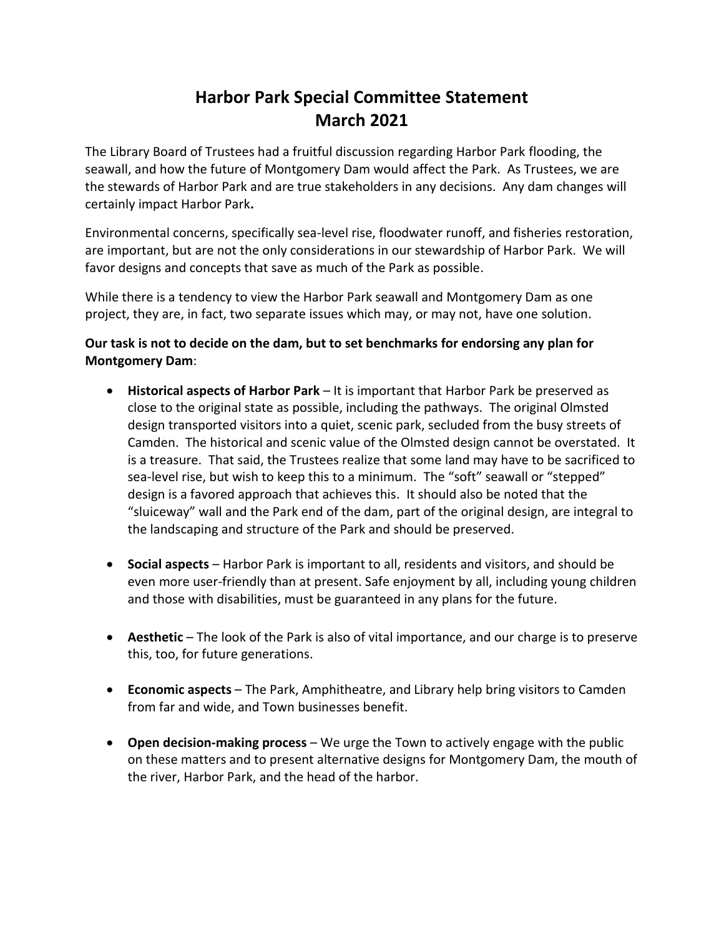## **Harbor Park Special Committee Statement March 2021**

The Library Board of Trustees had a fruitful discussion regarding Harbor Park flooding, the seawall, and how the future of Montgomery Dam would affect the Park. As Trustees, we are the stewards of Harbor Park and are true stakeholders in any decisions. Any dam changes will certainly impact Harbor Park**.** 

Environmental concerns, specifically sea-level rise, floodwater runoff, and fisheries restoration, are important, but are not the only considerations in our stewardship of Harbor Park. We will favor designs and concepts that save as much of the Park as possible.

While there is a tendency to view the Harbor Park seawall and Montgomery Dam as one project, they are, in fact, two separate issues which may, or may not, have one solution.

## **Our task is not to decide on the dam, but to set benchmarks for endorsing any plan for Montgomery Dam**:

- **Historical aspects of Harbor Park** It is important that Harbor Park be preserved as close to the original state as possible, including the pathways. The original Olmsted design transported visitors into a quiet, scenic park, secluded from the busy streets of Camden. The historical and scenic value of the Olmsted design cannot be overstated. It is a treasure. That said, the Trustees realize that some land may have to be sacrificed to sea-level rise, but wish to keep this to a minimum. The "soft" seawall or "stepped" design is a favored approach that achieves this. It should also be noted that the "sluiceway" wall and the Park end of the dam, part of the original design, are integral to the landscaping and structure of the Park and should be preserved.
- **Social aspects** Harbor Park is important to all, residents and visitors, and should be even more user-friendly than at present. Safe enjoyment by all, including young children and those with disabilities, must be guaranteed in any plans for the future.
- **Aesthetic** The look of the Park is also of vital importance, and our charge is to preserve this, too, for future generations.
- **Economic aspects** The Park, Amphitheatre, and Library help bring visitors to Camden from far and wide, and Town businesses benefit.
- **Open decision-making process** We urge the Town to actively engage with the public on these matters and to present alternative designs for Montgomery Dam, the mouth of the river, Harbor Park, and the head of the harbor.